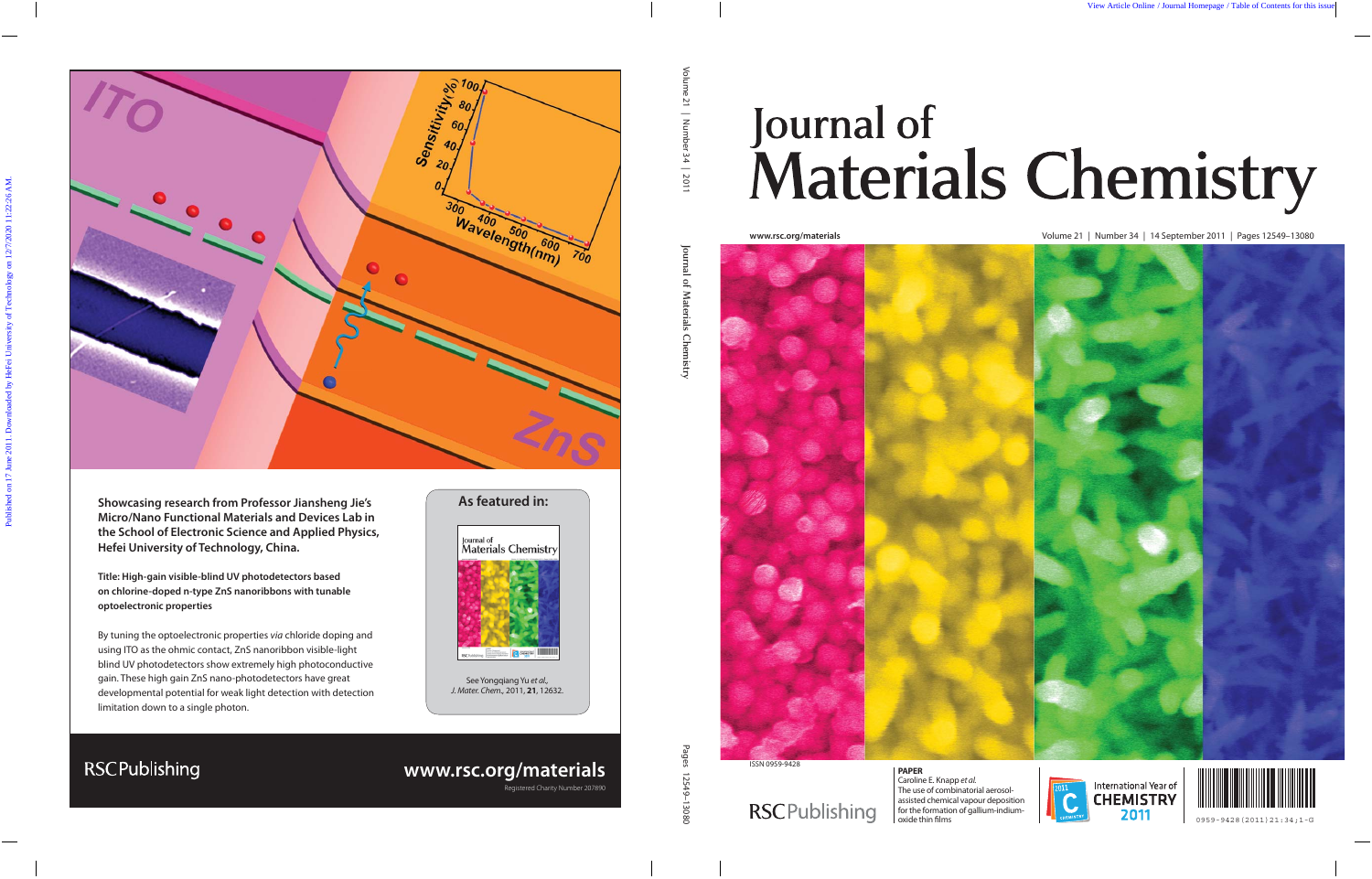

**Showcasing research from Professor Jiansheng Jie's Micro/Nano Functional Materials and Devices Lab in the School of Electronic Science and Applied Physics, Hefei University of Technology, China.**

**Title: High-gain visible-blind UV photodetectors based on chlorine-doped n-type ZnS nanoribbons with tunable optoelectronic properties**

By tuning the optoelectronic properties via chloride doping and using ITO as the ohmic contact, ZnS nanoribbon visible-light blind UV photodetectors show extremely high photoconductive gain. These high gain ZnS nano-photodetectors have great developmental potential for weak light detection with detection limitation down to a single photon.

# **As featured in:**



See Yongqiang Yu et al., J. Mater. Chem., 2011, **21**, 12632.

# **RSCPublishing**

**www.rsc.org/materials**

Registered Charity Number 207890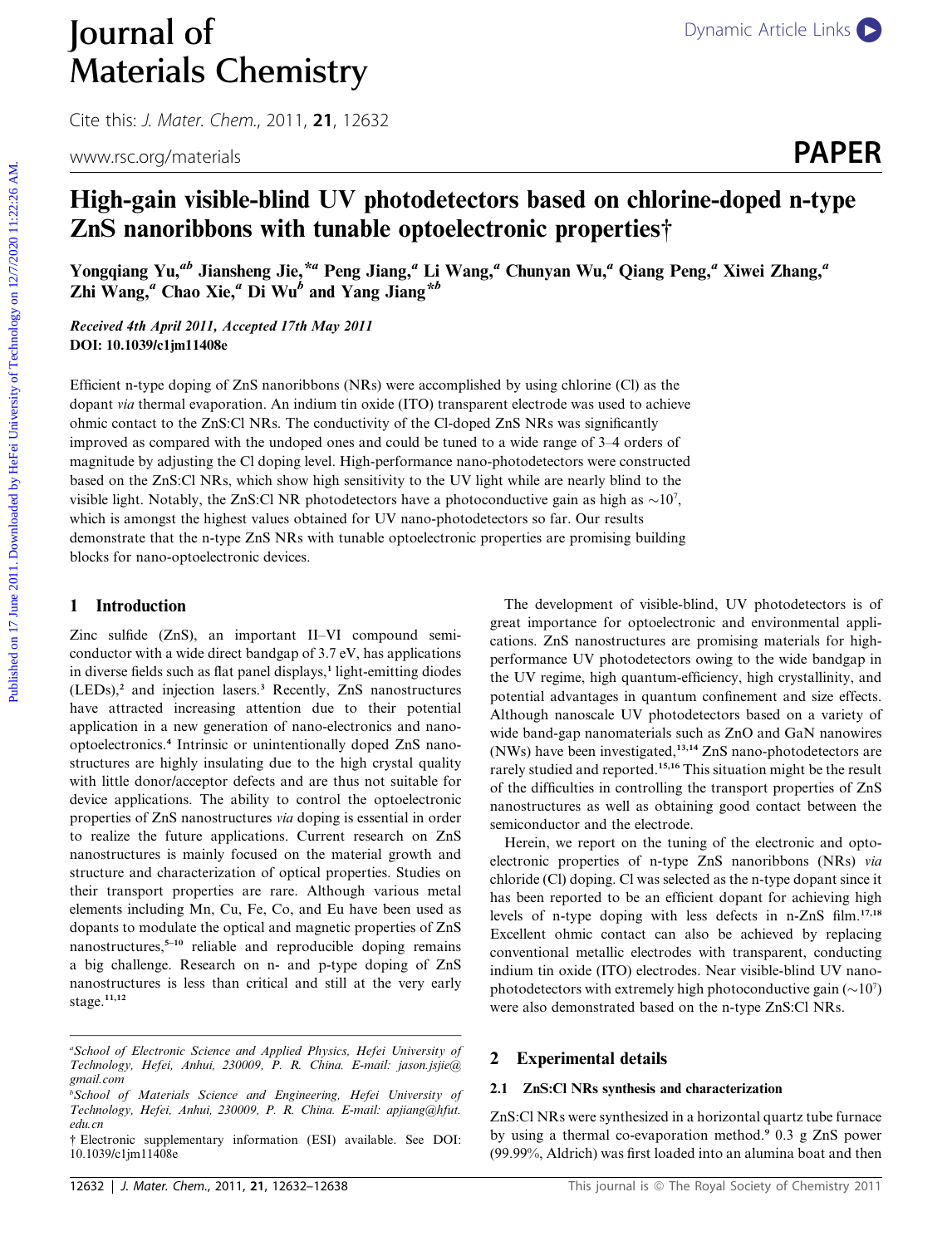# **Journal of** [Dynamic Article Links](http://dx.doi.org/10.1039/c1jm11408e) Materials Chemistry

Cite this: J. Mater. Chem., 2011, <sup>21</sup>, 12632

www.rsc.org/materials **PAPER** 

# High-gain visible-blind UV photodetectors based on chlorine-doped n-type ZnS nanoribbons with tunable optoelectronic properties†

Yongqiang Yu,<sup>ab</sup> Jiansheng Jie,<sup>\*a</sup> Peng Jiang,<sup>a</sup> Li Wang,<sup>a</sup> Chunyan Wu,<sup>a</sup> Qiang Peng,<sup>a</sup> Xiwei Zhang,<sup>a</sup> Zhi Wang,<sup> $a$ </sup> Chao Xie, $a$ <sup>U</sup> Di Wu<sup>b</sup> and Yang Jiang<sup>\*b</sup>

Received 4th April 2011, Accepted 17th May 2011 DOI: 10.1039/c1jm11408e

Efficient n-type doping of ZnS nanoribbons (NRs) were accomplished by using chlorine (Cl) as the dopant via thermal evaporation. An indium tin oxide (ITO) transparent electrode was used to achieve ohmic contact to the ZnS:Cl NRs. The conductivity of the Cl-doped ZnS NRs was significantly improved as compared with the undoped ones and could be tuned to a wide range of 3–4 orders of magnitude by adjusting the Cl doping level. High-performance nano-photodetectors were constructed based on the ZnS:Cl NRs, which show high sensitivity to the UV light while are nearly blind to the visible light. Notably, the ZnS:Cl NR photodetectors have a photoconductive gain as high as  $\sim$ 10<sup>7</sup>, which is amongst the highest values obtained for UV nano-photodetectors so far. Our results demonstrate that the n-type ZnS NRs with tunable optoelectronic properties are promising building blocks for nano-optoelectronic devices. **Published on 17 June 2011.** Download **Controllar Controllar Controllar Controllar Controllar Controllar Controllar Controllar Controllar Controllar Controllar Controllar Controllar Controllar Controllar Controllar Contro** 

### 1 Introduction

Zinc sulfide (ZnS), an important II–VI compound semiconductor with a wide direct bandgap of 3.7 eV, has applications in diverse fields such as flat panel displays,<sup>1</sup> light-emitting diodes  $(LEDs)<sup>2</sup>$  and injection lasers.<sup>3</sup> Recently, ZnS nanostructures have attracted increasing attention due to their potential application in a new generation of nano-electronics and nanooptoelectronics.<sup>4</sup> Intrinsic or unintentionally doped ZnS nanostructures are highly insulating due to the high crystal quality with little donor/acceptor defects and are thus not suitable for device applications. The ability to control the optoelectronic properties of ZnS nanostructures via doping is essential in order to realize the future applications. Current research on ZnS nanostructures is mainly focused on the material growth and structure and characterization of optical properties. Studies on their transport properties are rare. Although various metal elements including Mn, Cu, Fe, Co, and Eu have been used as dopants to modulate the optical and magnetic properties of ZnS nanostructures, $5-10$  reliable and reproducible doping remains a big challenge. Research on n- and p-type doping of ZnS nanostructures is less than critical and still at the very early stage.<sup>11,12</sup>

The development of visible-blind, UV photodetectors is of great importance for optoelectronic and environmental applications. ZnS nanostructures are promising materials for highperformance UV photodetectors owing to the wide bandgap in the UV regime, high quantum-efficiency, high crystallinity, and potential advantages in quantum confinement and size effects. Although nanoscale UV photodetectors based on a variety of wide band-gap nanomaterials such as ZnO and GaN nanowires (NWs) have been investigated,13,14 ZnS nano-photodetectors are rarely studied and reported.15,16 This situation might be the result of the difficulties in controlling the transport properties of ZnS nanostructures as well as obtaining good contact between the semiconductor and the electrode.

Herein, we report on the tuning of the electronic and optoelectronic properties of n-type ZnS nanoribbons (NRs) via chloride (Cl) doping. Cl was selected as the n-type dopant since it has been reported to be an efficient dopant for achieving high levels of n-type doping with less defects in n-ZnS film.17,18 Excellent ohmic contact can also be achieved by replacing conventional metallic electrodes with transparent, conducting indium tin oxide (ITO) electrodes. Near visible-blind UV nanophotodetectors with extremely high photoconductive gain  $(\sim 10^7)$ were also demonstrated based on the n-type ZnS:Cl NRs.

### 2 Experimental details

# 2.1 ZnS:Cl NRs synthesis and characterization

ZnS:Cl NRs were synthesized in a horizontal quartz tube furnace by using a thermal co-evaporation method.<sup>9</sup> 0.3 g ZnS power (99.99%, Aldrich) was first loaded into an alumina boat and then

a School of Electronic Science and Applied Physics, Hefei University of Technology, Hefei, Anhui, 230009, P. R. China. E-mail: jason.jsjie@ gmail.com

b School of Materials Science and Engineering, Hefei University of Technology, Hefei, Anhui, 230009, P. R. China. E-mail: apjiang@hfut. edu.cn

<sup>†</sup> Electronic supplementary information (ESI) available. See DOI: 10.1039/c1jm11408e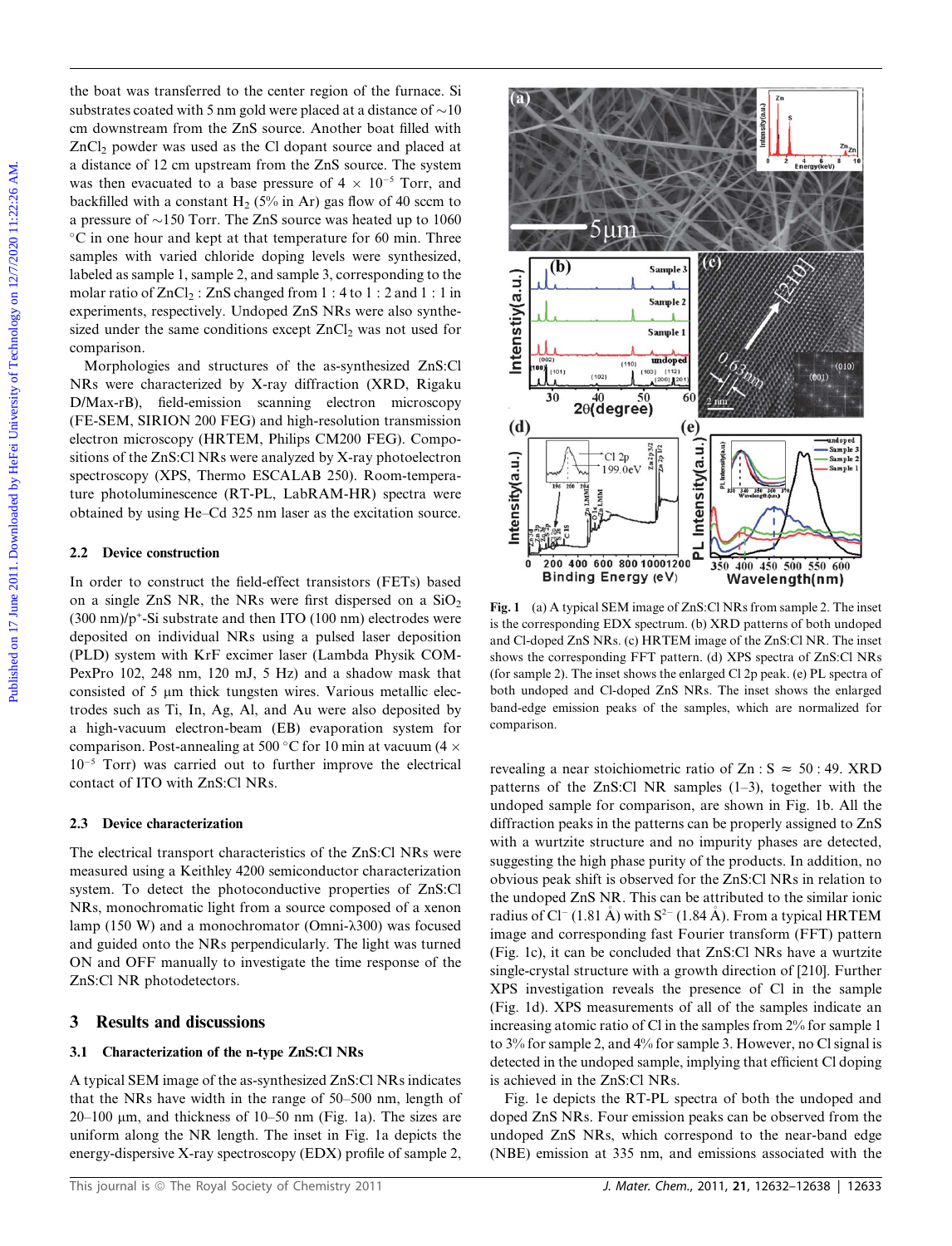the boat was transferred to the center region of the furnace. Si substrates coated with 5 nm gold were placed at a distance of  $\sim$ 10 cm downstream from the ZnS source. Another boat filled with ZnCl2 powder was used as the Cl dopant source and placed at a distance of 12 cm upstream from the ZnS source. The system was then evacuated to a base pressure of  $4 \times 10^{-5}$  Torr, and backfilled with a constant  $H_2$  (5% in Ar) gas flow of 40 sccm to a pressure of  $\sim$ 150 Torr. The ZnS source was heated up to 1060  $\rm ^{\circ}C$  in one hour and kept at that temperature for 60 min. Three samples with varied chloride doping levels were synthesized, labeled as sample 1, sample 2, and sample 3, corresponding to the molar ratio of  $ZnCl_2$ :  $ZnS$  changed from 1:4 to 1:2 and 1:1 in experiments, respectively. Undoped ZnS NRs were also synthesized under the same conditions except  $ZnCl<sub>2</sub>$  was not used for comparison.

Morphologies and structures of the as-synthesized ZnS:Cl NRs were characterized by X-ray diffraction (XRD, Rigaku D/Max-rB), field-emission scanning electron microscopy (FE-SEM, SIRION 200 FEG) and high-resolution transmission electron microscopy (HRTEM, Philips CM200 FEG). Compositions of the ZnS:Cl NRs were analyzed by X-ray photoelectron spectroscopy (XPS, Thermo ESCALAB 250). Room-temperature photoluminescence (RT-PL, LabRAM-HR) spectra were obtained by using He–Cd 325 nm laser as the excitation source.

# 2.2 Device construction

In order to construct the field-effect transistors (FETs) based on a single ZnS NR, the NRs were first dispersed on a  $SiO<sub>2</sub>$  $(300 \text{ nm})/p^*$ -Si substrate and then ITO  $(100 \text{ nm})$  electrodes were deposited on individual NRs using a pulsed laser deposition (PLD) system with KrF excimer laser (Lambda Physik COM-PexPro 102, 248 nm, 120 mJ, 5 Hz) and a shadow mask that consisted of 5 µm thick tungsten wires. Various metallic electrodes such as Ti, In, Ag, Al, and Au were also deposited by a high-vacuum electron-beam (EB) evaporation system for comparison. Post-annealing at 500 °C for 10 min at vacuum (4  $\times$  $10^{-5}$  Torr) was carried out to further improve the electrical contact of ITO with ZnS:Cl NRs.

# 2.3 Device characterization

The electrical transport characteristics of the ZnS:Cl NRs were measured using a Keithley 4200 semiconductor characterization system. To detect the photoconductive properties of ZnS:Cl NRs, monochromatic light from a source composed of a xenon lamp (150 W) and a monochromator (Omni- $\lambda$ 300) was focused and guided onto the NRs perpendicularly. The light was turned ON and OFF manually to investigate the time response of the ZnS:Cl NR photodetectors.

# 3 Results and discussions

# 3.1 Characterization of the n-type ZnS:Cl NRs

A typical SEM image of the as-synthesized ZnS:Cl NRs indicates that the NRs have width in the range of 50–500 nm, length of  $20-100$  µm, and thickness of  $10-50$  nm (Fig. 1a). The sizes are uniform along the NR length. The inset in Fig. 1a depicts the energy-dispersive X-ray spectroscopy (EDX) profile of sample 2,



Fig. 1 (a) A typical SEM image of ZnS:Cl NRs from sample 2. The inset is the corresponding EDX spectrum. (b) XRD patterns of both undoped and Cl-doped ZnS NRs. (c) HRTEM image of the ZnS:Cl NR. The inset shows the corresponding FFT pattern. (d) XPS spectra of ZnS:Cl NRs (for sample 2). The inset shows the enlarged Cl 2p peak. (e) PL spectra of both undoped and Cl-doped ZnS NRs. The inset shows the enlarged band-edge emission peaks of the samples, which are normalized for comparison.

revealing a near stoichiometric ratio of  $Zn : S \approx 50 : 49$ . XRD patterns of the ZnS:Cl NR samples (1–3), together with the undoped sample for comparison, are shown in Fig. 1b. All the diffraction peaks in the patterns can be properly assigned to ZnS with a wurtzite structure and no impurity phases are detected, suggesting the high phase purity of the products. In addition, no obvious peak shift is observed for the ZnS:Cl NRs in relation to the undoped ZnS NR. This can be attributed to the similar ionic radius of Cl<sup>-</sup> (1.81 A) with  $S<sup>2</sup>$  (1.84 A). From a typical HRTEM image and corresponding fast Fourier transform (FFT) pattern (Fig. 1c), it can be concluded that ZnS:Cl NRs have a wurtzite single-crystal structure with a growth direction of [210]. Further XPS investigation reveals the presence of Cl in the sample (Fig. 1d). XPS measurements of all of the samples indicate an increasing atomic ratio of Cl in the samples from 2% for sample 1 to 3% for sample 2, and 4% for sample 3. However, no Cl signal is detected in the undoped sample, implying that efficient Cl doping is achieved in the ZnS:Cl NRs.

Fig. 1e depicts the RT-PL spectra of both the undoped and doped ZnS NRs. Four emission peaks can be observed from the undoped ZnS NRs, which correspond to the near-band edge (NBE) emission at 335 nm, and emissions associated with the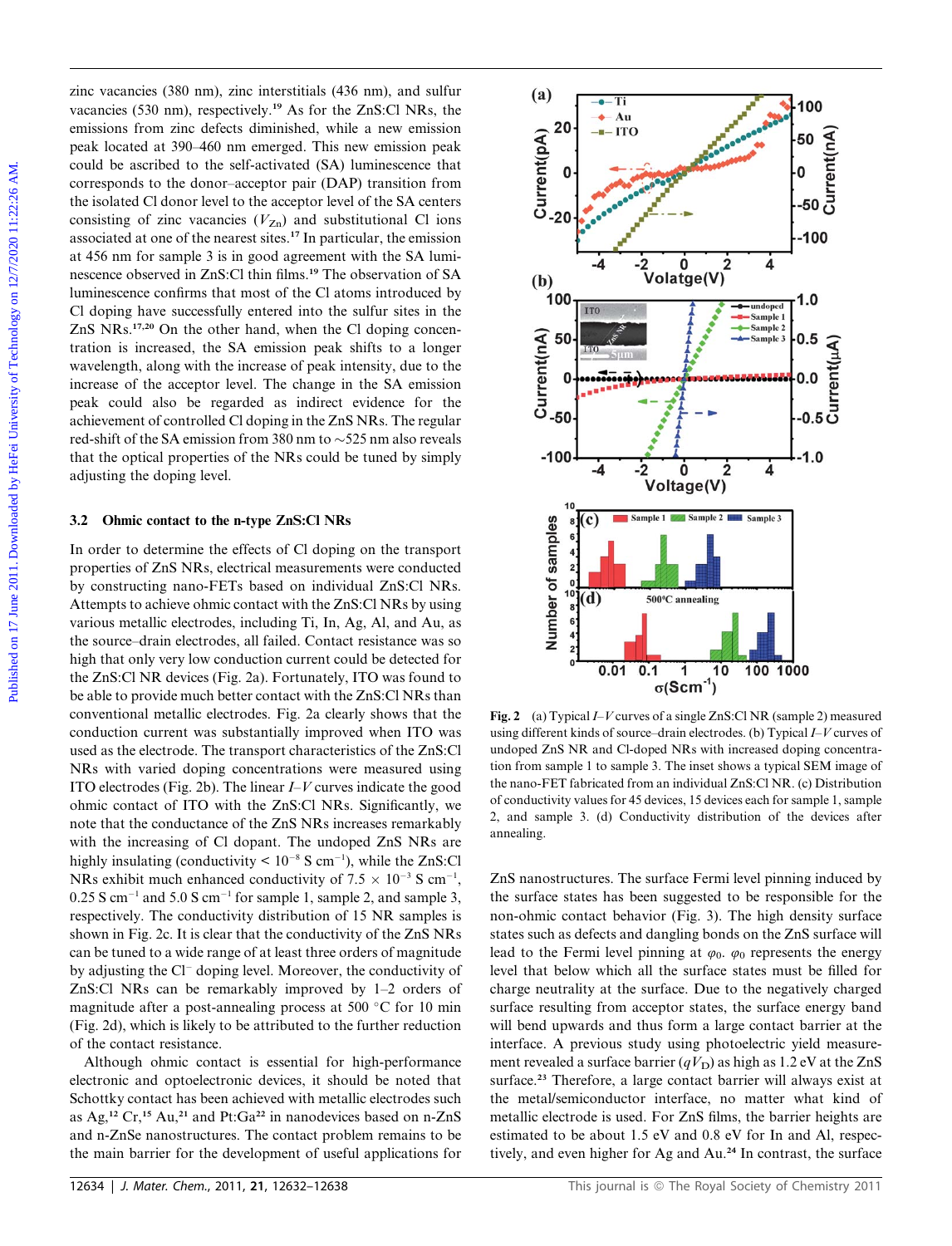zinc vacancies (380 nm), zinc interstitials (436 nm), and sulfur vacancies (530 nm), respectively.<sup>19</sup> As for the ZnS:Cl NRs, the emissions from zinc defects diminished, while a new emission peak located at 390–460 nm emerged. This new emission peak could be ascribed to the self-activated (SA) luminescence that corresponds to the donor–acceptor pair (DAP) transition from the isolated Cl donor level to the acceptor level of the SA centers consisting of zinc vacancies  $(V_{Zn})$  and substitutional Cl ions associated at one of the nearest sites.<sup>17</sup> In particular, the emission at 456 nm for sample 3 is in good agreement with the SA luminescence observed in ZnS:Cl thin films.<sup>19</sup> The observation of SA luminescence confirms that most of the Cl atoms introduced by Cl doping have successfully entered into the sulfur sites in the ZnS NRs.17,20 On the other hand, when the Cl doping concentration is increased, the SA emission peak shifts to a longer wavelength, along with the increase of peak intensity, due to the increase of the acceptor level. The change in the SA emission peak could also be regarded as indirect evidence for the achievement of controlled Cl doping in the ZnS NRs. The regular red-shift of the SA emission from 380 nm to  $\sim$  525 nm also reveals that the optical properties of the NRs could be tuned by simply adjusting the doping level.

#### 3.2 Ohmic contact to the n-type ZnS:Cl NRs

In order to determine the effects of Cl doping on the transport properties of ZnS NRs, electrical measurements were conducted by constructing nano-FETs based on individual ZnS:Cl NRs. Attempts to achieve ohmic contact with the ZnS:Cl NRs by using various metallic electrodes, including Ti, In, Ag, Al, and Au, as the source–drain electrodes, all failed. Contact resistance was so high that only very low conduction current could be detected for the ZnS:Cl NR devices (Fig. 2a). Fortunately, ITO was found to be able to provide much better contact with the ZnS: Cl NRs than conventional metallic electrodes. Fig. 2a clearly shows that the conduction current was substantially improved when ITO was used as the electrode. The transport characteristics of the ZnS:Cl NRs with varied doping concentrations were measured using ITO electrodes (Fig. 2b). The linear  $I-V$  curves indicate the good ohmic contact of ITO with the ZnS:Cl NRs. Significantly, we note that the conductance of the ZnS NRs increases remarkably with the increasing of Cl dopant. The undoped ZnS NRs are highly insulating (conductivity  $\leq 10^{-8}$  S cm<sup>-1</sup>), while the ZnS:Cl NRs exhibit much enhanced conductivity of  $7.5 \times 10^{-3}$  S cm<sup>-1</sup>,  $0.25$  S cm<sup>-1</sup> and 5.0 S cm<sup>-1</sup> for sample 1, sample 2, and sample 3, respectively. The conductivity distribution of 15 NR samples is shown in Fig. 2c. It is clear that the conductivity of the ZnS NRs can be tuned to a wide range of at least three orders of magnitude by adjusting the  $Cl^-$  doping level. Moreover, the conductivity of ZnS:Cl NRs can be remarkably improved by 1–2 orders of magnitude after a post-annealing process at 500  $^{\circ}$ C for 10 min (Fig. 2d), which is likely to be attributed to the further reduction of the contact resistance.

Although ohmic contact is essential for high-performance electronic and optoelectronic devices, it should be noted that Schottky contact has been achieved with metallic electrodes such as Ag,<sup>12</sup> Cr,<sup>15</sup> Au,<sup>21</sup> and Pt:Ga<sup>22</sup> in nanodevices based on n-ZnS and n-ZnSe nanostructures. The contact problem remains to be the main barrier for the development of useful applications for



Fig. 2 (a) Typical  $I-V$  curves of a single ZnS:Cl NR (sample 2) measured using different kinds of source–drain electrodes. (b) Typical I–V curves of undoped ZnS NR and Cl-doped NRs with increased doping concentration from sample 1 to sample 3. The inset shows a typical SEM image of the nano-FET fabricated from an individual ZnS:Cl NR. (c) Distribution of conductivity values for 45 devices, 15 devices each for sample 1, sample 2, and sample 3. (d) Conductivity distribution of the devices after annealing.

ZnS nanostructures. The surface Fermi level pinning induced by the surface states has been suggested to be responsible for the non-ohmic contact behavior (Fig. 3). The high density surface states such as defects and dangling bonds on the ZnS surface will lead to the Fermi level pinning at  $\varphi_0$ .  $\varphi_0$  represents the energy level that below which all the surface states must be filled for charge neutrality at the surface. Due to the negatively charged surface resulting from acceptor states, the surface energy band will bend upwards and thus form a large contact barrier at the interface. A previous study using photoelectric yield measurement revealed a surface barrier ( $qV<sub>D</sub>$ ) as high as 1.2 eV at the ZnS surface.<sup>23</sup> Therefore, a large contact barrier will always exist at the metal/semiconductor interface, no matter what kind of metallic electrode is used. For ZnS films, the barrier heights are estimated to be about 1.5 eV and 0.8 eV for In and Al, respectively, and even higher for Ag and Au.<sup>24</sup> In contrast, the surface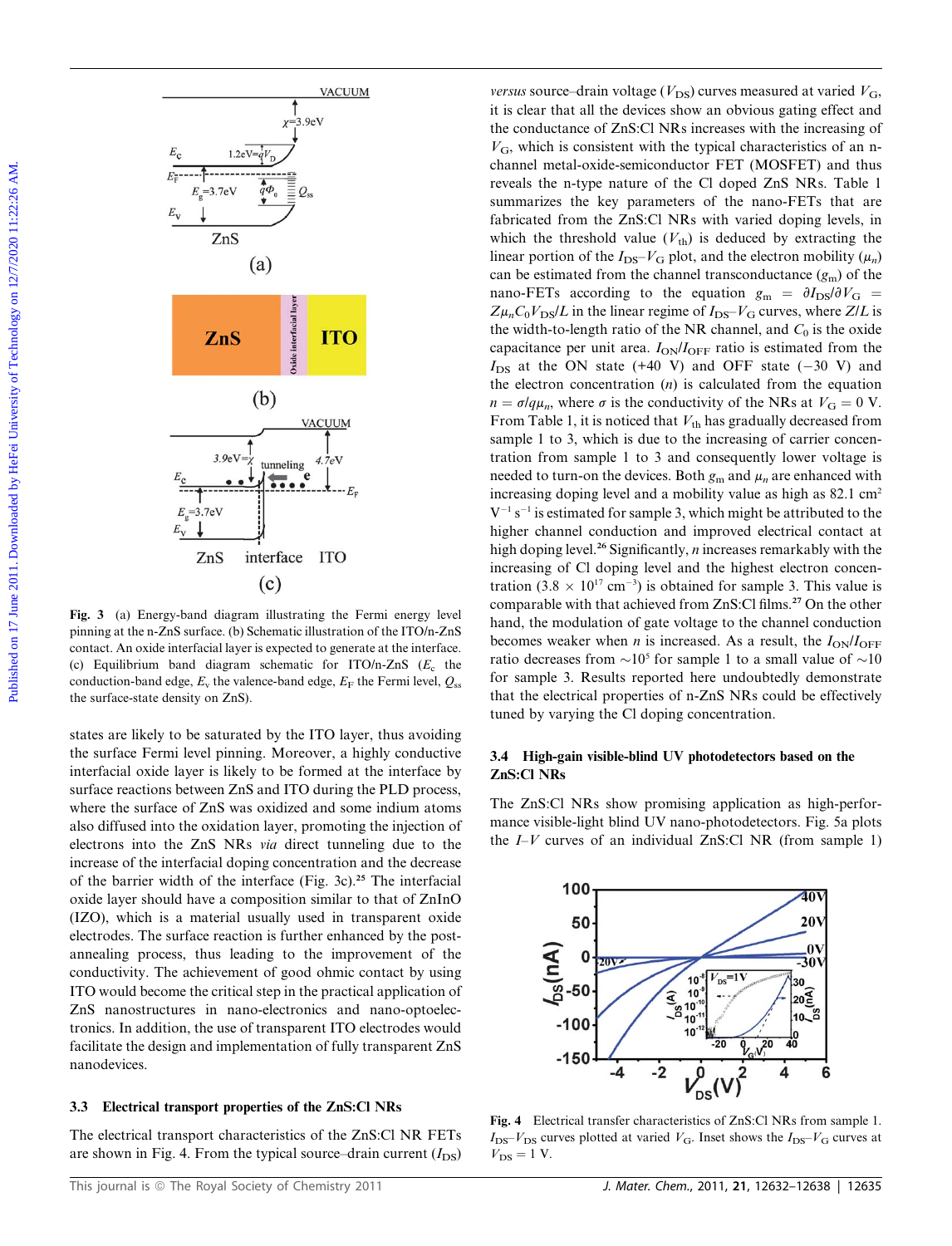

Fig. 3 (a) Energy-band diagram illustrating the Fermi energy level pinning at the n-ZnS surface. (b) Schematic illustration of the ITO/n-ZnS contact. An oxide interfacial layer is expected to generate at the interface. (c) Equilibrium band diagram schematic for ITO/n-ZnS  $(E_c)$  the conduction-band edge,  $E<sub>v</sub>$  the valence-band edge,  $E<sub>F</sub>$  the Fermi level,  $Q<sub>ss</sub>$ the surface-state density on ZnS).

states are likely to be saturated by the ITO layer, thus avoiding the surface Fermi level pinning. Moreover, a highly conductive interfacial oxide layer is likely to be formed at the interface by surface reactions between ZnS and ITO during the PLD process, where the surface of ZnS was oxidized and some indium atoms also diffused into the oxidation layer, promoting the injection of electrons into the ZnS NRs via direct tunneling due to the increase of the interfacial doping concentration and the decrease of the barrier width of the interface (Fig. 3c).<sup>25</sup> The interfacial oxide layer should have a composition similar to that of ZnInO (IZO), which is a material usually used in transparent oxide electrodes. The surface reaction is further enhanced by the postannealing process, thus leading to the improvement of the conductivity. The achievement of good ohmic contact by using ITO would become the critical step in the practical application of ZnS nanostructures in nano-electronics and nano-optoelectronics. In addition, the use of transparent ITO electrodes would facilitate the design and implementation of fully transparent ZnS nanodevices.

#### 3.3 Electrical transport properties of the ZnS:Cl NRs

The electrical transport characteristics of the ZnS:Cl NR FETs are shown in Fig. 4. From the typical source–drain current  $(I_{DS})$ 

versus source–drain voltage ( $V_{DS}$ ) curves measured at varied  $V_{G}$ , it is clear that all the devices show an obvious gating effect and the conductance of ZnS:Cl NRs increases with the increasing of  $V<sub>G</sub>$ , which is consistent with the typical characteristics of an nchannel metal-oxide-semiconductor FET (MOSFET) and thus reveals the n-type nature of the Cl doped ZnS NRs. Table 1 summarizes the key parameters of the nano-FETs that are fabricated from the ZnS:Cl NRs with varied doping levels, in which the threshold value  $(V<sub>th</sub>)$  is deduced by extracting the linear portion of the  $I_{DS}-V_G$  plot, and the electron mobility  $(\mu_n)$ can be estimated from the channel transconductance  $(g_m)$  of the nano-FETs according to the equation  $g_m = \partial I_{DS}/\partial V_G$  $Z\mu_nC_0V_{DS}/L$  in the linear regime of  $I_{DS}-V_G$  curves, where  $Z/L$  is the width-to-length ratio of the NR channel, and  $C_0$  is the oxide capacitance per unit area.  $I_{ON}/I_{OFF}$  ratio is estimated from the  $I_{DS}$  at the ON state (+40 V) and OFF state (-30 V) and the electron concentration  $(n)$  is calculated from the equation  $n = \sigma/q\mu_n$ , where  $\sigma$  is the conductivity of the NRs at  $V_\text{G} = 0$  V. From Table 1, it is noticed that  $V_{\text{th}}$  has gradually decreased from sample 1 to 3, which is due to the increasing of carrier concentration from sample 1 to 3 and consequently lower voltage is needed to turn-on the devices. Both  $g_m$  and  $\mu_n$  are enhanced with increasing doping level and a mobility value as high as 82.1 cm<sup>2</sup>  $V^{-1}$  s<sup>-1</sup> is estimated for sample 3, which might be attributed to the higher channel conduction and improved electrical contact at high doping level.<sup>26</sup> Significantly, *n* increases remarkably with the increasing of Cl doping level and the highest electron concentration (3.8  $\times$  10<sup>17</sup> cm<sup>-3</sup>) is obtained for sample 3. This value is comparable with that achieved from ZnS:Cl films.<sup>27</sup> On the other hand, the modulation of gate voltage to the channel conduction becomes weaker when *n* is increased. As a result, the  $I_{ON}/I_{OFF}$ ratio decreases from  $\sim 10^5$  for sample 1 to a small value of  $\sim 10$ for sample 3. Results reported here undoubtedly demonstrate that the electrical properties of n-ZnS NRs could be effectively tuned by varying the Cl doping concentration. Published on 17 June 2011. Download by Hermannian Columbia and the content of Technology of Technology of Technology on 17 June 2011. The special of the special content of the special content of the special content of the

#### 3.4 High-gain visible-blind UV photodetectors based on the ZnS:Cl NRs

The ZnS:Cl NRs show promising application as high-performance visible-light blind UV nano-photodetectors. Fig. 5a plots the  $I-V$  curves of an individual ZnS:Cl NR (from sample 1)



Fig. 4 Electrical transfer characteristics of ZnS:Cl NRs from sample 1.  $I_{\text{DS}}-V_{\text{DS}}$  curves plotted at varied  $V_{\text{G}}$ . Inset shows the  $I_{\text{DS}}-V_{\text{G}}$  curves at  $V_{DS} = 1$  V.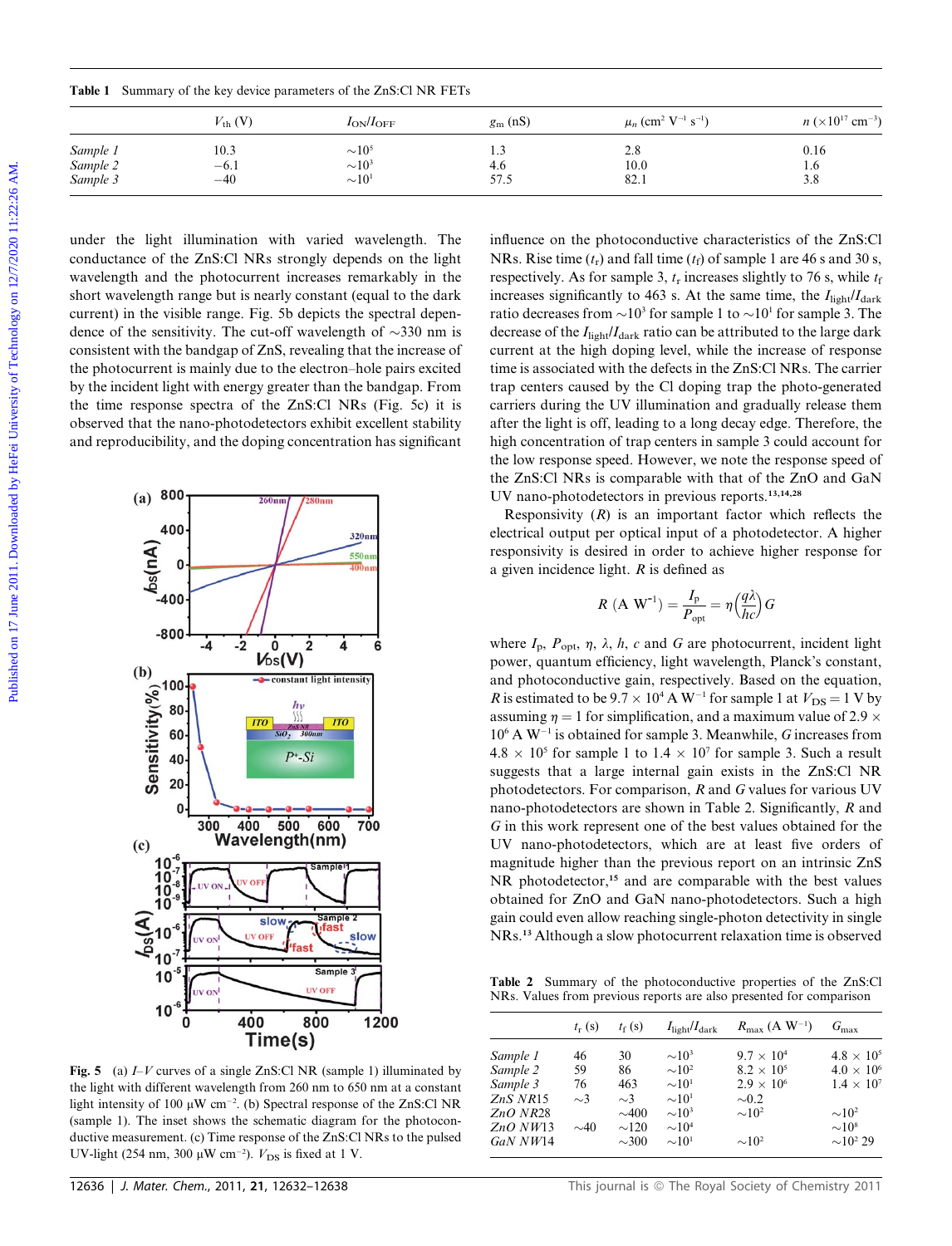|          | $V_{\text{th}}$ (V) | $I_{ON}/I_{OFF}$     | $g_{\rm m}$ (nS) | $\mu_n$ (cm <sup>2</sup> V <sup>-1</sup> s <sup>-1</sup> ) | $n \ (\times 10^{17} \text{ cm}^{-3})$ |
|----------|---------------------|----------------------|------------------|------------------------------------------------------------|----------------------------------------|
| Sample 1 | 10.3                | $\sim\!\!10^5$       | 1.3              | 2.8                                                        | 0.16                                   |
| Sample 2 | $-6.1$              | $\sim\!\!10^3$       | 4.6              | 10.0                                                       | 1.0                                    |
| Sample 3 | $-40$               | $\sim\!\!10^{\rm l}$ | 57.5             | 82.1                                                       | 3.8                                    |

under the light illumination with varied wavelength. The conductance of the ZnS:Cl NRs strongly depends on the light wavelength and the photocurrent increases remarkably in the short wavelength range but is nearly constant (equal to the dark current) in the visible range. Fig. 5b depicts the spectral dependence of the sensitivity. The cut-off wavelength of  $\sim$ 330 nm is consistent with the bandgap of ZnS, revealing that the increase of the photocurrent is mainly due to the electron–hole pairs excited by the incident light with energy greater than the bandgap. From the time response spectra of the ZnS:Cl NRs (Fig. 5c) it is observed that the nano-photodetectors exhibit excellent stability and reproducibility, and the doping concentration has significant

Table 1 Summary of the key device parameters of the ZnS:Cl NR FETs



Fig. 5 (a)  $I-V$  curves of a single ZnS:Cl NR (sample 1) illuminated by the light with different wavelength from 260 nm to 650 nm at a constant light intensity of 100  $\mu$ W cm<sup>-2</sup>. (b) Spectral response of the ZnS:Cl NR (sample 1). The inset shows the schematic diagram for the photoconductive measurement. (c) Time response of the ZnS:Cl NRs to the pulsed UV-light (254 nm, 300  $\mu$ W cm<sup>-2</sup>).  $V_{DS}$  is fixed at 1 V.

influence on the photoconductive characteristics of the ZnS:Cl NRs. Rise time  $(t_r)$  and fall time  $(t_f)$  of sample 1 are 46 s and 30 s, respectively. As for sample 3,  $t_r$  increases slightly to 76 s, while  $t_f$ increases significantly to 463 s. At the same time, the  $I_{\text{light}}/I_{\text{dark}}$ ratio decreases from  $\sim 10^3$  for sample 1 to  $\sim 10^1$  for sample 3. The decrease of the  $I_{\text{light}}/I_{\text{dark}}$  ratio can be attributed to the large dark current at the high doping level, while the increase of response time is associated with the defects in the ZnS:Cl NRs. The carrier trap centers caused by the Cl doping trap the photo-generated carriers during the UV illumination and gradually release them after the light is off, leading to a long decay edge. Therefore, the high concentration of trap centers in sample 3 could account for the low response speed. However, we note the response speed of the ZnS:Cl NRs is comparable with that of the ZnO and GaN UV nano-photodetectors in previous reports.13,14,28 **Table 1** Summary of the key being pumerates of the ZaSC INR PTTs<br>  $\frac{2}{3}$   $\frac{2}{3}$   $\frac{1}{3}$   $\frac{1}{3}$   $\frac{1}{3}$   $\frac{1}{3}$   $\frac{1}{3}$   $\frac{1}{3}$   $\frac{1}{3}$   $\frac{1}{3}$   $\frac{1}{3}$   $\frac{1}{3}$   $\frac{1}{3}$   $\frac{1}{3}$   $\frac{1}{3}$   $\frac{$ 

Responsivity  $(R)$  is an important factor which reflects the electrical output per optical input of a photodetector. A higher responsivity is desired in order to achieve higher response for a given incidence light. R is defined as

$$
R (A W^{-1}) = \frac{I_{p}}{P_{opt}} = \eta \left(\frac{q\lambda}{hc}\right) G
$$

where  $I_p$ ,  $P_{\text{opt}}$ ,  $\eta$ ,  $\lambda$ ,  $h$ ,  $c$  and  $G$  are photocurrent, incident light power, quantum efficiency, light wavelength, Planck's constant, and photoconductive gain, respectively. Based on the equation, R is estimated to be  $9.7 \times 10^4$  A W<sup>-1</sup> for sample 1 at  $V_{DS} = 1$  V by assuming  $\eta = 1$  for simplification, and a maximum value of 2.9  $\times$  $10^6$  A W<sup>-1</sup> is obtained for sample 3. Meanwhile, G increases from  $4.8 \times 10^5$  for sample 1 to  $1.4 \times 10^7$  for sample 3. Such a result suggests that a large internal gain exists in the ZnS:Cl NR photodetectors. For comparison, R and G values for various UV nano-photodetectors are shown in Table 2. Significantly, R and G in this work represent one of the best values obtained for the UV nano-photodetectors, which are at least five orders of magnitude higher than the previous report on an intrinsic ZnS NR photodetector,<sup>15</sup> and are comparable with the best values obtained for ZnO and GaN nano-photodetectors. Such a high gain could even allow reaching single-photon detectivity in single NRs.<sup>13</sup> Although a slow photocurrent relaxation time is observed

Table 2 Summary of the photoconductive properties of the ZnS:Cl NRs. Values from previous reports are also presented for comparison

|            | $t_{\rm r}$ (s) | $t_f(s)$   | $I_{\text{light}}/I_{\text{dark}}$ | $R_{\text{max}}$ (A W <sup>-1</sup> ) | $G_{\rm max}$             |
|------------|-----------------|------------|------------------------------------|---------------------------------------|---------------------------|
| Sample 1   | 46              | 30         | $\sim 10^3$                        | $9.7 \times 10^{4}$                   | $4.8 \times 10^{5}$       |
| Sample 2   | 59              | 86         | $\sim 10^2$                        | $8.2 \times 10^{5}$                   | $4.0 \times 10^{6}$       |
| Sample 3   | 76              | 463        | $\sim 10^{1}$                      | $2.9 \times 10^{6}$                   | $1.4 \times 10^{7}$       |
| ZnS NR15   | $\sim$ 3        | $\sim$ 3   | $\sim 10^{1}$                      | $\sim 0.2$                            |                           |
| $ZnO$ NR28 |                 | $\sim 400$ | $\sim 10^3$                        | $\sim 10^2$                           | $\sim 10^2$               |
| ZnO N W13  | $\sim$ 40       | $\sim$ 120 | $\sim 104$                         |                                       | $\sim 10^8$               |
| GaN NW14   |                 | $\sim 300$ | $\sim 10^{1}$                      | $\sim 10^2$                           | $\sim$ 10 <sup>2</sup> 29 |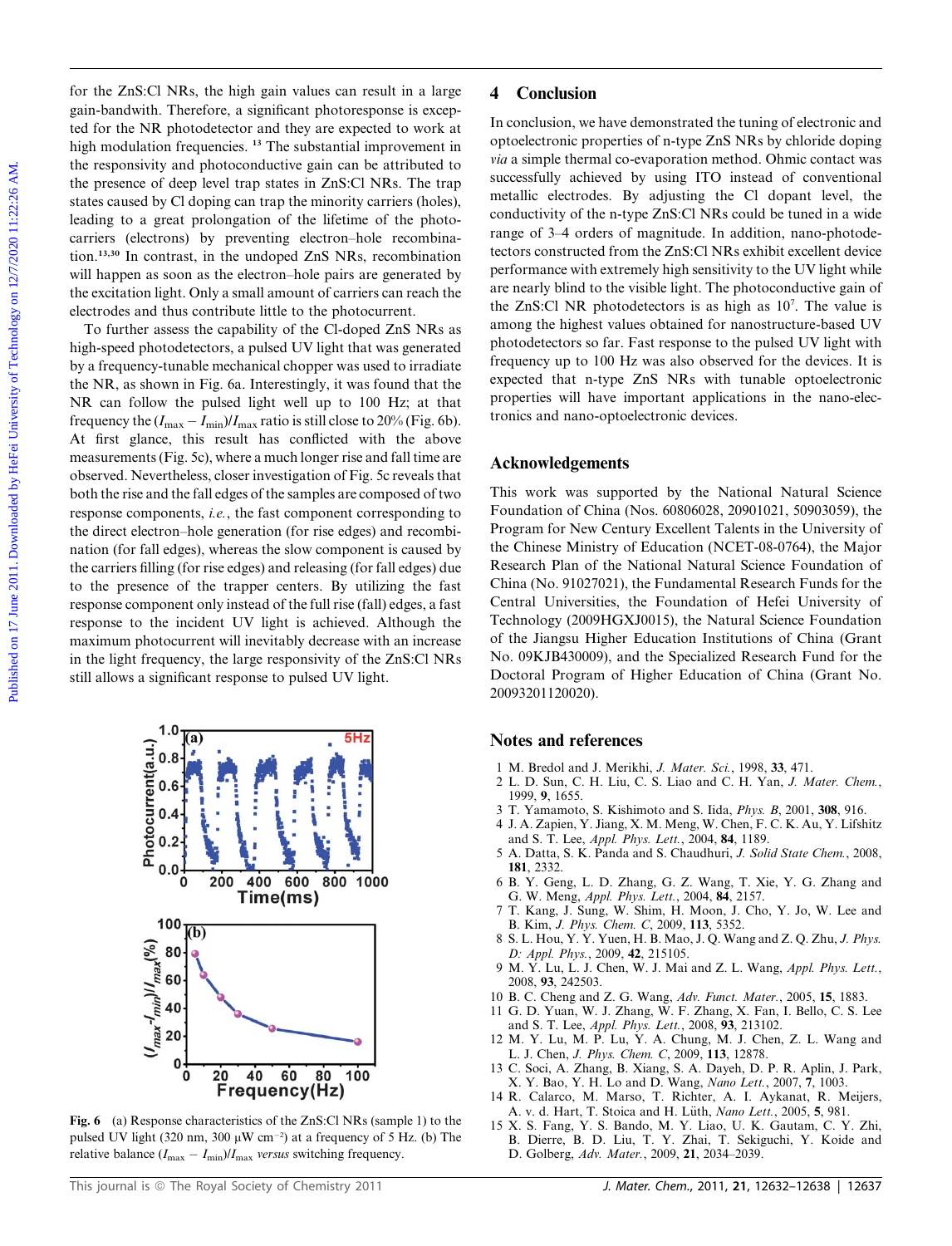for the ZnS:Cl NRs, the high gain values can result in a large gain-bandwith. Therefore, a significant photoresponse is excepted for the NR photodetector and they are expected to work at high modulation frequencies. <sup>13</sup> The substantial improvement in the responsivity and photoconductive gain can be attributed to the presence of deep level trap states in ZnS:Cl NRs. The trap states caused by Cl doping can trap the minority carriers (holes), leading to a great prolongation of the lifetime of the photocarriers (electrons) by preventing electron–hole recombination.13,30 In contrast, in the undoped ZnS NRs, recombination will happen as soon as the electron–hole pairs are generated by the excitation light. Only a small amount of carriers can reach the electrodes and thus contribute little to the photocurrent.

To further assess the capability of the Cl-doped ZnS NRs as high-speed photodetectors, a pulsed UV light that was generated by a frequency-tunable mechanical chopper was used to irradiate the NR, as shown in Fig. 6a. Interestingly, it was found that the NR can follow the pulsed light well up to 100 Hz; at that frequency the  $(I_{\text{max}} - I_{\text{min}})/I_{\text{max}}$  ratio is still close to 20% (Fig. 6b). At first glance, this result has conflicted with the above measurements (Fig. 5c), where a much longer rise and fall time are observed. Nevertheless, closer investigation of Fig. 5c reveals that both the rise and the fall edges of the samples are composed of two response components, i.e., the fast component corresponding to the direct electron–hole generation (for rise edges) and recombination (for fall edges), whereas the slow component is caused by the carriers filling (for rise edges) and releasing (for fall edges) due to the presence of the trapper centers. By utilizing the fast response component only instead of the full rise (fall) edges, a fast response to the incident UV light is achieved. Although the maximum photocurrent will inevitably decrease with an increase in the light frequency, the large responsivity of the ZnS:Cl NRs still allows a significant response to pulsed UV light. For the ZaSCI NRs, the high-gain values can ceate in a large  $\sim$  4 Conclusion content can be increased by the absorption of the expectation of the product of the second by Hefe Per active of the product of the second by



Fig. 6 (a) Response characteristics of the ZnS:Cl NRs (sample 1) to the pulsed UV light (320 nm, 300  $\mu$ W cm<sup>-2</sup>) at a frequency of 5 Hz. (b) The relative balance  $(I_{\text{max}} - I_{\text{min}})/I_{\text{max}}$  versus switching frequency.

# 4 Conclusion

In conclusion, we have demonstrated the tuning of electronic and optoelectronic properties of n-type ZnS NRs by chloride doping via a simple thermal co-evaporation method. Ohmic contact was successfully achieved by using ITO instead of conventional metallic electrodes. By adjusting the Cl dopant level, the conductivity of the n-type ZnS:Cl NRs could be tuned in a wide range of 3–4 orders of magnitude. In addition, nano-photodetectors constructed from the ZnS:Cl NRs exhibit excellent device performance with extremely high sensitivity to the UV light while are nearly blind to the visible light. The photoconductive gain of the ZnS:Cl NR photodetectors is as high as 10<sup>7</sup>. The value is among the highest values obtained for nanostructure-based UV photodetectors so far. Fast response to the pulsed UV light with frequency up to 100 Hz was also observed for the devices. It is expected that n-type ZnS NRs with tunable optoelectronic properties will have important applications in the nano-electronics and nano-optoelectronic devices.

#### Acknowledgements

This work was supported by the National Natural Science Foundation of China (Nos. 60806028, 20901021, 50903059), the Program for New Century Excellent Talents in the University of the Chinese Ministry of Education (NCET-08-0764), the Major Research Plan of the National Natural Science Foundation of China (No. 91027021), the Fundamental Research Funds for the Central Universities, the Foundation of Hefei University of Technology (2009HGXJ0015), the Natural Science Foundation of the Jiangsu Higher Education Institutions of China (Grant No. 09KJB430009), and the Specialized Research Fund for the Doctoral Program of Higher Education of China (Grant No. 20093201120020).

### Notes and references

- 1 M. Bredol and J. Merikhi, J. Mater. Sci., 1998, 33, 471.
- 2 L. D. Sun, C. H. Liu, C. S. Liao and C. H. Yan, J. Mater. Chem., 1999, 9, 1655.
- 3 T. Yamamoto, S. Kishimoto and S. Iida, Phys. B, 2001, 308, 916.
- 4 J. A. Zapien, Y. Jiang, X. M. Meng, W. Chen, F. C. K. Au, Y. Lifshitz and S. T. Lee, Appl. Phys. Lett., 2004, 84, 1189.
- 5 A. Datta, S. K. Panda and S. Chaudhuri, J. Solid State Chem., 2008, 181, 2332.
- 6 B. Y. Geng, L. D. Zhang, G. Z. Wang, T. Xie, Y. G. Zhang and G. W. Meng, Appl. Phys. Lett., 2004, 84, 2157.
- 7 T. Kang, J. Sung, W. Shim, H. Moon, J. Cho, Y. Jo, W. Lee and B. Kim, J. Phys. Chem. C, 2009, 113, 5352.
- 8 S. L. Hou, Y. Y. Yuen, H. B. Mao, J. Q. Wang and Z. Q. Zhu, J. Phys. D: Appl. Phys., 2009, 42, 215105.
- 9 M. Y. Lu, L. J. Chen, W. J. Mai and Z. L. Wang, Appl. Phys. Lett., 2008, 93, 242503.
- 10 B. C. Cheng and Z. G. Wang, Adv. Funct. Mater., 2005, 15, 1883.
- 11 G. D. Yuan, W. J. Zhang, W. F. Zhang, X. Fan, I. Bello, C. S. Lee and S. T. Lee, Appl. Phys. Lett., 2008, 93, 213102.
- 12 M. Y. Lu, M. P. Lu, Y. A. Chung, M. J. Chen, Z. L. Wang and L. J. Chen, J. Phys. Chem. C, 2009, 113, 12878.
- 13 C. Soci, A. Zhang, B. Xiang, S. A. Dayeh, D. P. R. Aplin, J. Park, X. Y. Bao, Y. H. Lo and D. Wang, Nano Lett., 2007, 7, 1003.
- 14 R. Calarco, M. Marso, T. Richter, A. I. Aykanat, R. Meijers, A. v. d. Hart, T. Stoica and H. Lüth, Nano Lett., 2005, 5, 981.
- 15 X. S. Fang, Y. S. Bando, M. Y. Liao, U. K. Gautam, C. Y. Zhi, B. Dierre, B. D. Liu, T. Y. Zhai, T. Sekiguchi, Y. Koide and D. Golberg, Adv. Mater., 2009, 21, 2034–2039.